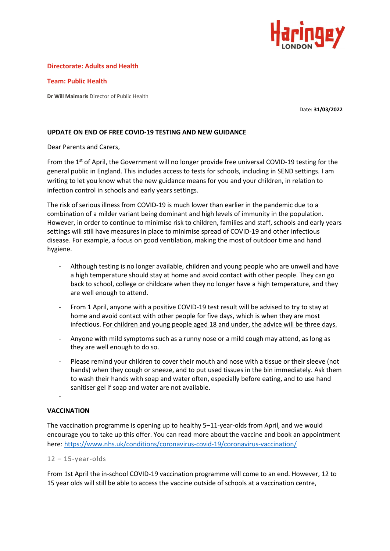

## **Directorate: Adults and Health**

**Team: Public Health** 

**Dr Will Maimaris** Director of Public Health

Date: **31/03/2022**

## **UPDATE ON END OF FREE COVID-19 TESTING AND NEW GUIDANCE**

Dear Parents and Carers,

From the 1<sup>st</sup> of April, the Government will no longer provide free universal COVID-19 testing for the general public in England. This includes access to tests for schools, including in SEND settings. I am writing to let you know what the new guidance means for you and your children, in relation to infection control in schools and early years settings.

The risk of serious illness from COVID-19 is much lower than earlier in the pandemic due to a combination of a milder variant being dominant and high levels of immunity in the population. However, in order to continue to minimise risk to children, families and staff, schools and early years settings will still have measures in place to minimise spread of COVID-19 and other infectious disease. For example, a focus on good ventilation, making the most of outdoor time and hand hygiene.

- Although testing is no longer available, children and young people who are unwell and have a high temperature should stay at home and avoid contact with other people. They can go back to school, college or childcare when they no longer have a high temperature, and they are well enough to attend.
- From 1 April, anyone with a positive COVID-19 test result will be advised to try to stay at home and avoid contact with other people for five days, which is when they are most infectious. For children and young people aged 18 and under, the advice will be three days.
- Anyone with mild symptoms such as a runny nose or a mild cough may attend, as long as they are well enough to do so.
- Please remind your children to cover their mouth and nose with a tissue or their sleeve (not hands) when they cough or sneeze, and to put used tissues in the bin immediately. Ask them to wash their hands with soap and water often, especially before eating, and to use hand sanitiser gel if soap and water are not available.

## **VACCINATION**

-

The vaccination programme is opening up to healthy 5–11-year-olds from April, and we would encourage you to take up this offer. You can read more about the vaccine and book an appointment here:<https://www.nhs.uk/conditions/coronavirus-covid-19/coronavirus-vaccination/>

## $12 - 15$ -year-olds

From 1st April the in-school COVID-19 vaccination programme will come to an end. However, 12 to 15 year olds will still be able to access the vaccine outside of schools at a vaccination centre,